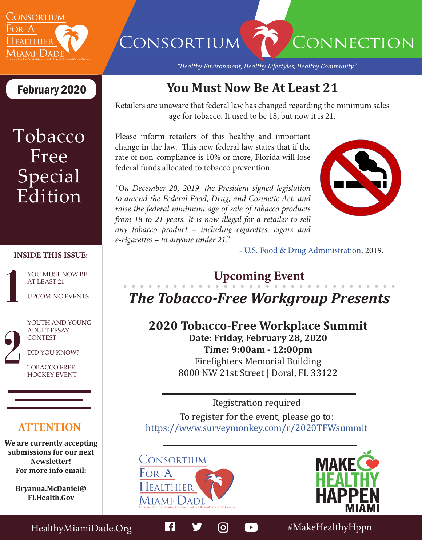

# CONSORTIUM CONNECTION

*"Healthy Environment, Healthy Lifestyles, Healthy Community"*

# Tobacco Free **Special** Edition

#### **INSIDE THIS ISSUE:**

AT LEAST 21

UPCOMING EVENTS

YOUTH AND YOUNG ADULT ESSAY **CONTEST** 

DID YOU KNOW?

TOBACCO FREE HOCKEY EVENT

### **ATTENTION**

**We are currently accepting submissions for our next Newsletter! For more info email:** 

> **Bryanna.McDaniel@ FLHealth.Gov**

February 2020 **You Must Now Be At Least 21**

Retailers are unaware that federal law has changed regarding the minimum sales age for tobacco. It used to be 18, but now it is 21.

Please inform retailers of this healthy and important change in the law. This new federal law states that if the rate of non-compliance is 10% or more, Florida will lose federal funds allocated to tobacco prevention.

*"On December 20, 2019, the President signed legislation to amend the Federal Food, Drug, and Cosmetic Act, and raise the federal minimum age of sale of tobacco products from 18 to 21 years. It is now illegal for a retailer to sell any tobacco product – including cigarettes, cigars and e-cigarettes – to anyone under 21."* 



- [U.S. Food & Drug Administration](https://www.fda.gov/tobacco-products/compliance-enforcement-training/retail-sales-tobacco-products), 2019.

## **VOU MUST NOW BE AT LEAST 21**

## *The Tobacco-Free Workgroup Presents*

**2020 Tobacco-Free Workplace Summit Date: Friday, February 28, 2020 Time: 9:00am - 12:00pm** Firefighters Memorial Building 8000 NW 21st Street | Doral, FL 33122

Registration required

To register for the event, please go to: [https://www.surveymonkey.com/r/2020TFWsummit](https://www.surveymonkey.com/r/2020tfwsummit)





HealthyMiamiDade.Org **#MakeHealthyHppn**